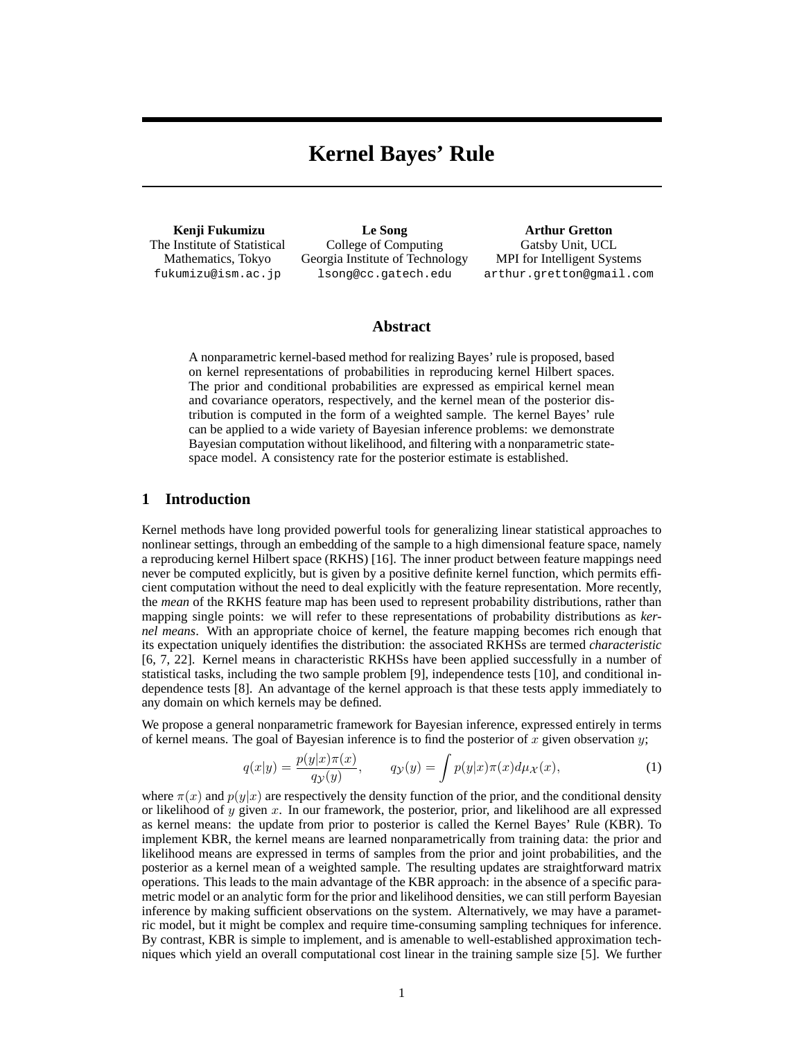# **Kernel Bayes' Rule**

**Kenji Fukumizu** The Institute of Statistical Mathematics, Tokyo fukumizu@ism.ac.jp

**Le Song** College of Computing Georgia Institute of Technology lsong@cc.gatech.edu

**Arthur Gretton** Gatsby Unit, UCL MPI for Intelligent Systems arthur.gretton@gmail.com

## **Abstract**

A nonparametric kernel-based method for realizing Bayes' rule is proposed, based on kernel representations of probabilities in reproducing kernel Hilbert spaces. The prior and conditional probabilities are expressed as empirical kernel mean and covariance operators, respectively, and the kernel mean of the posterior distribution is computed in the form of a weighted sample. The kernel Bayes' rule can be applied to a wide variety of Bayesian inference problems: we demonstrate Bayesian computation without likelihood, and filtering with a nonparametric statespace model. A consistency rate for the posterior estimate is established.

# **1 Introduction**

Kernel methods have long provided powerful tools for generalizing linear statistical approaches to nonlinear settings, through an embedding of the sample to a high dimensional feature space, namely a reproducing kernel Hilbert space (RKHS) [16]. The inner product between feature mappings need never be computed explicitly, but is given by a positive definite kernel function, which permits efficient computation without the need to deal explicitly with the feature representation. More recently, the *mean* of the RKHS feature map has been used to represent probability distributions, rather than mapping single points: we will refer to these representations of probability distributions as *kernel means*. With an appropriate choice of kernel, the feature mapping becomes rich enough that its expectation uniquely identifies the distribution: the associated RKHSs are termed *characteristic* [6, 7, 22]. Kernel means in characteristic RKHSs have been applied successfully in a number of statistical tasks, including the two sample problem [9], independence tests [10], and conditional independence tests [8]. An advantage of the kernel approach is that these tests apply immediately to any domain on which kernels may be defined.

We propose a general nonparametric framework for Bayesian inference, expressed entirely in terms of kernel means. The goal of Bayesian inference is to find the posterior of x given observation y;

$$
q(x|y) = \frac{p(y|x)\pi(x)}{q(y)}
$$
\n
$$
q(y|y) = \int p(y|x)\pi(x)d\mu(x)
$$
\n(1)

where  $\pi(x)$  and  $p(y|x)$  are respectively the density function of the prior, and the conditional density or likelihood of y given x. In our framework, the posterior, prior, and likelihood are all expressed as kernel means: the update from prior to posterior is called the Kernel Bayes' Rule (KBR). To implement KBR, the kernel means are learned nonparametrically from training data: the prior and likelihood means are expressed in terms of samples from the prior and joint probabilities, and the posterior as a kernel mean of a weighted sample. The resulting updates are straightforward matrix operations. This leads to the main advantage of the KBR approach: in the absence of a specific parametric model or an analytic form for the prior and likelihood densities, we can still perform Bayesian inference by making sufficient observations on the system. Alternatively, we may have a parametric model, but it might be complex and require time-consuming sampling techniques for inference. By contrast, KBR is simple to implement, and is amenable to well-established approximation techniques which yield an overall computational cost linear in the training sample size [5]. We further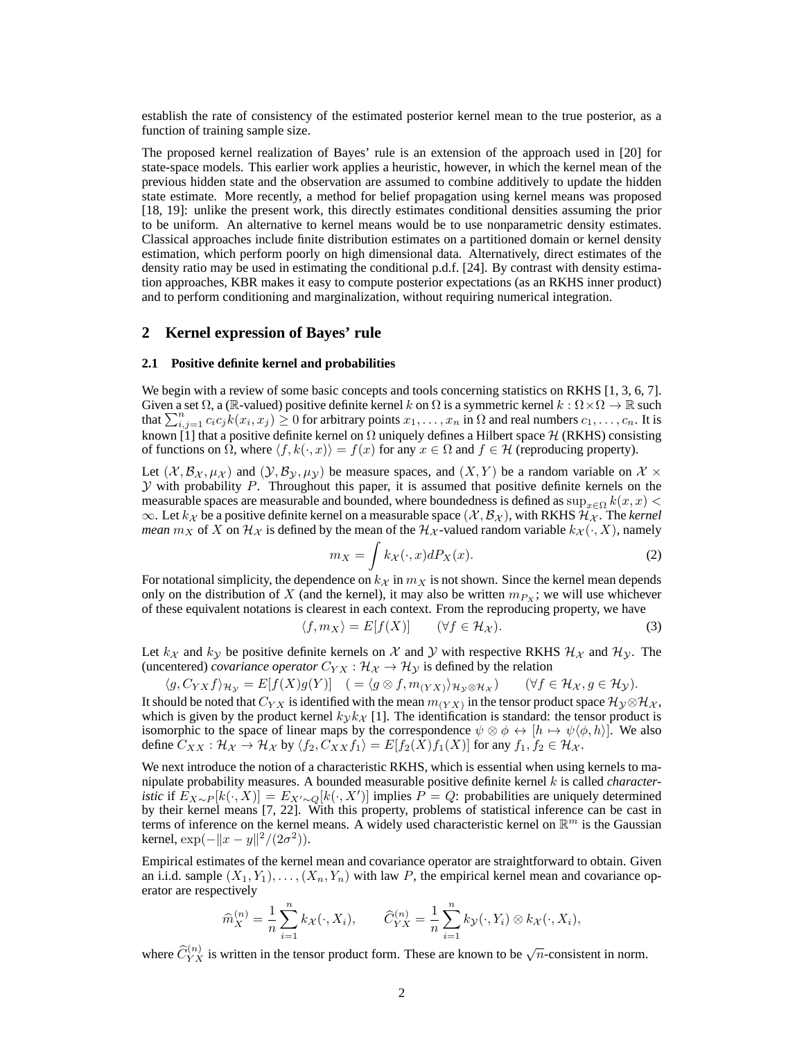establish the rate of consistency of the estimated posterior kernel mean to the true posterior, as a function of training sample size.

The proposed kernel realization of Bayes' rule is an extension of the approach used in [20] for state-space models. This earlier work applies a heuristic, however, in which the kernel mean of the previous hidden state and the observation are assumed to combine additively to update the hidden state estimate. More recently, a method for belief propagation using kernel means was proposed [18, 19]: unlike the present work, this directly estimates conditional densities assuming the prior to be uniform. An alternative to kernel means would be to use nonparametric density estimates. Classical approaches include finite distribution estimates on a partitioned domain or kernel density estimation, which perform poorly on high dimensional data. Alternatively, direct estimates of the density ratio may be used in estimating the conditional p.d.f. [24]. By contrast with density estimation approaches, KBR makes it easy to compute posterior expectations (as an RKHS inner product) and to perform conditioning and marginalization, without requiring numerical integration.

# **2 Kernel expression of Bayes' rule**

### **2.1 Positive definite kernel and probabilities**

We begin with a review of some basic concepts and tools concerning statistics on RKHS [1, 3, 6, 7]. Given a set  $\Omega$ , a (R-valued) positive definite kernel k on  $\Omega$  is a symmetric kernel  $k : \Omega \times \Omega \to \mathbb{R}$  such that  $\sum_{i,j=1}^n c_i c_j k(x_i, x_j) \ge 0$  for arbitrary points  $x_1, \ldots, x_n$  in  $\Omega$  and real numbers  $c_1, \ldots, c_n$ . It is known [1] that a positive definite kernel on  $\Omega$  uniquely defines a Hilbert space  $\mathcal{H}$  (RKHS) consisting of functions on  $\Omega$ , where  $\langle f, k(\cdot, x)\rangle = f(x)$  for any  $x \in \Omega$  and  $f \in \mathcal{H}$  (reproducing property).

Let  $(\mathcal{X}, \mathcal{B}_{\mathcal{X}}, \mu_{\mathcal{X}})$  and  $(\mathcal{Y}, \mathcal{B}_{\mathcal{Y}}, \mu_{\mathcal{Y}})$  be measure spaces, and  $(X, Y)$  be a random variable on  $\mathcal{X}$  ×  $\mathcal Y$  with probability P. Throughout this paper, it is assumed that positive definite kernels on the measurable spaces are measurable and bounded, where boundedness is defined as  $\sup_{x\in\Omega} k(x, x)$  $\infty$ . Let  $k_{\mathcal{X}}$  be a positive definite kernel on a measurable space  $(\mathcal{X}, \mathcal{B}_{\mathcal{X}})$ , with RKHS  $\mathcal{H}_{\mathcal{X}}$ . The *kernel mean*  $m_X$  of X on  $\mathcal{H}_\mathcal{X}$  is defined by the mean of the  $\mathcal{H}_\mathcal{X}$ -valued random variable  $k_\mathcal{X}(\cdot, X)$ , namely

$$
m_X = \int k_X(\cdot, x) dP_X(x). \tag{2}
$$

For notational simplicity, the dependence on  $k<sub>X</sub>$  in  $m<sub>X</sub>$  is not shown. Since the kernel mean depends only on the distribution of X (and the kernel), it may also be written  $m_{Px}$ ; we will use whichever of these equivalent notations is clearest in each context. From the reproducing property, we have

$$
\langle f, m_X \rangle = E[f(X)] \qquad (\forall f \in \mathcal{H}_X). \tag{3}
$$

Let  $k_{\mathcal{X}}$  and  $k_{\mathcal{Y}}$  be positive definite kernels on X and Y with respective RKHS  $\mathcal{H}_{\mathcal{X}}$  and  $\mathcal{H}_{\mathcal{Y}}$ . The (uncentered) *covariance operator*  $C_{YX}$  :  $\mathcal{H}_X \rightarrow \mathcal{H}_Y$  is defined by the relation

$$
\langle g, C_{YX} f \rangle_{\mathcal{H}_{\mathcal{Y}}} = E[f(X)g(Y)] \quad ( = \langle g \otimes f, m_{(YX)} \rangle_{\mathcal{H}_{\mathcal{Y}} \otimes \mathcal{H}_{\mathcal{X}}}) \quad (\forall f \in \mathcal{H}_{\mathcal{X}}, g \in \mathcal{H}_{\mathcal{Y}}).
$$
 It should be noted that  $C_{YX}$  is identified with the mean  $m_{(YX)}$  in the tensor product space  $\mathcal{H}_{\mathcal{Y}} \otimes \mathcal{H}_{\mathcal{X}}$ , which is given by the product Kernel  $k_{\mathcal{Y}} k_{\mathcal{X}}$  [1]. The identification is standard: the tensor product is isomorphic to the space of linear maps by the correspondence  $\psi \otimes \phi \leftrightarrow [h \mapsto \psi \langle \phi, h \rangle]$ . We also define  $C_{XX} : \mathcal{H}_{\mathcal{X}} \to \mathcal{H}_{\mathcal{X}}$  by  $\langle f_2, C_{XX} f_1 \rangle = E[f_2(X) f_1(X)]$  for any  $f_1, f_2 \in \mathcal{H}_{\mathcal{X}}$ .

We next introduce the notion of a characteristic RKHS, which is essential when using kernels to manipulate probability measures. A bounded measurable positive definite kernel k is called *characteristic* if  $E_{X\sim P}[k(\cdot, X)] = E_{X'\sim Q}[k(\cdot, X')]$  implies  $P = Q$ : probabilities are uniquely determined by their kernel means [7, 22]. With this property, problems of statistical inference can be cast in terms of inference on the kernel means. A widely used characteristic kernel on  $\mathbb{R}^m$  is the Gaussian kernel,  $\exp(-||x-y||^2/(2\sigma^2)).$ 

Empirical estimates of the kernel mean and covariance operator are straightforward to obtain. Given an i.i.d. sample  $(X_1, Y_1), \ldots, (X_n, Y_n)$  with law P, the empirical kernel mean and covariance operator are respectively

$$
\widehat{m}_X^{(n)} = \frac{1}{n} \sum_{i=1}^n k_{\mathcal{X}}(\cdot, X_i), \qquad \widehat{C}_{YX}^{(n)} = \frac{1}{n} \sum_{i=1}^n k_{\mathcal{Y}}(\cdot, Y_i) \otimes k_{\mathcal{X}}(\cdot, X_i),
$$

where  $\widehat{C}_{YX}^{(n)}$  is written in the tensor product form. These are known to be  $\sqrt{n}$ -consistent in norm.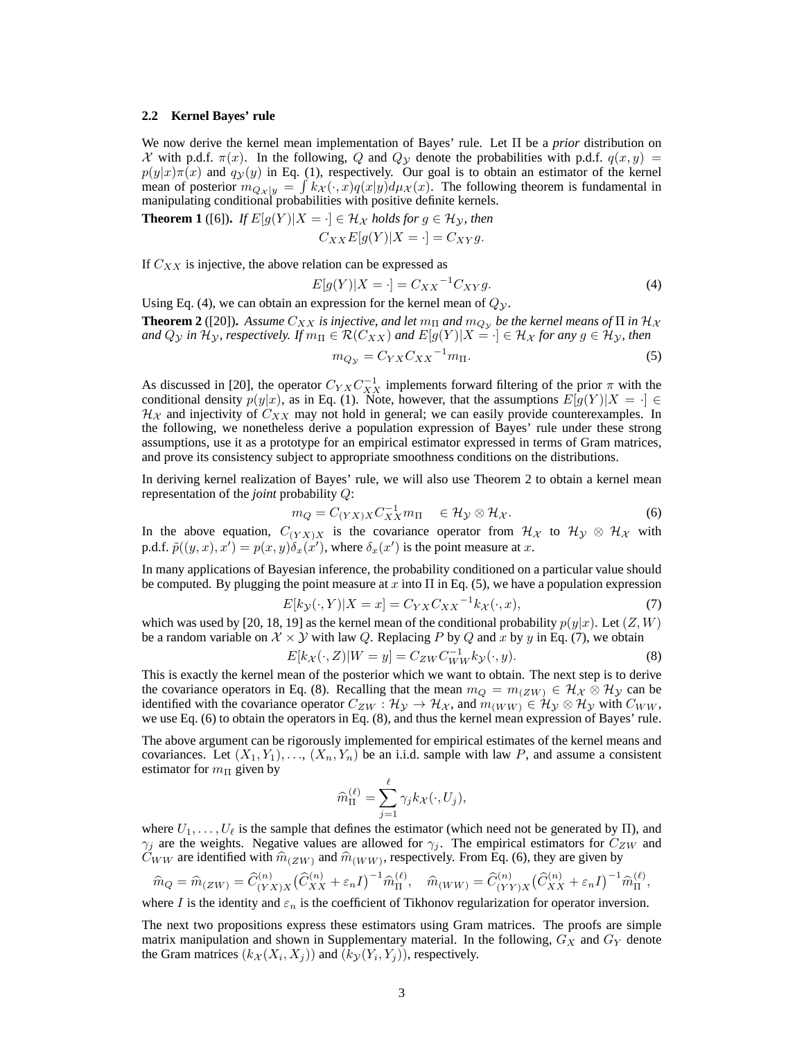### **2.2 Kernel Bayes' rule**

We now derive the kernel mean implementation of Bayes' rule. Let Π be a *prior* distribution on X with p.d.f.  $\pi(x)$ . In the following, Q and Q<sub>y</sub> denote the probabilities with p.d.f.  $q(x, y)$  =  $p(y|x)\pi(x)$  and  $q(y)$  in Eq. (1), respectively. Our goal is to obtain an estimator of the kernel mean of posterior  $m_{Qx|y} = \int kx(\cdot, x)q(x|y)d\mu_x(x)$ . The following theorem is fundamental in manipulating conditional probabilities with positive definite kernels.

**Theorem 1** ([6]). If 
$$
E[g(Y)|X = \cdot] \in \mathcal{H}_X
$$
 holds for  $g \in \mathcal{H}_Y$ , then  
\n
$$
C_{XX}E[g(Y)|X = \cdot] = C_{XY}g.
$$

If  $C_{XX}$  is injective, the above relation can be expressed as

$$
E[g(Y)|X = \cdot] = C_{XX}^{-1}C_{XY}g.
$$
\n<sup>(4)</sup>

Using Eq. (4), we can obtain an expression for the kernel mean of  $Q_y$ .

**Theorem 2** ([20]). *Assume*  $C_{XX}$  *is injective, and let*  $m_{\Pi}$  *and*  $m_{Q_y}$  *be the kernel means of*  $\Pi$  *in*  $\mathcal{H}_\mathcal{X}$ *and*  $Q_y$  *in*  $\mathcal{H}_y$ *, respectively. If*  $m_\Pi \in \mathcal{R}(C_{XX})$  *and*  $E[g(Y)|X = \cdot] \in \mathcal{H}_X$  *for any*  $g \in \mathcal{H}_y$ *, then* 

$$
m_{Q_{\mathcal{Y}}} = C_{YX} C_{XX}^{-1} m_{\Pi}.
$$
\n<sup>(5)</sup>

As discussed in [20], the operator  $C_{YX}C_{XX}^{-1}$  implements forward filtering of the prior  $\pi$  with the conditional density  $p(y|x)$ , as in Eq. (1). Note, however, that the assumptions  $E[g(Y)|X = \cdot] \in$  $\mathcal{H}_{\mathcal{X}}$  and injectivity of  $C_{XX}$  may not hold in general; we can easily provide counterexamples. In the following, we nonetheless derive a population expression of Bayes' rule under these strong assumptions, use it as a prototype for an empirical estimator expressed in terms of Gram matrices, and prove its consistency subject to appropriate smoothness conditions on the distributions.

In deriving kernel realization of Bayes' rule, we will also use Theorem 2 to obtain a kernel mean representation of the *joint* probability Q:

$$
m_Q = C_{(YX)X} C_{XX}^{-1} m_{\Pi} \quad \in \mathcal{H}_Y \otimes \mathcal{H}_X. \tag{6}
$$

In the above equation,  $C_{(YX)X}$  is the covariance operator from  $\mathcal{H}_X$  to  $\mathcal{H}_Y \otimes \mathcal{H}_X$  with p.d.f.  $\tilde{p}((y, x), x') = p(x, y)\delta_x(x')$ , where  $\delta_x(x')$  is the point measure at x.

In many applications of Bayesian inference, the probability conditioned on a particular value should be computed. By plugging the point measure at x into  $\Pi$  in Eq. (5), we have a population expression

$$
E[k_{\mathcal{Y}}(\cdot, Y)|X = x] = C_{YX} C_{XX}^{-1} k_{\mathcal{X}}(\cdot, x), \tag{7}
$$

which was used by [20, 18, 19] as the kernel mean of the conditional probability  $p(y|x)$ . Let  $(Z, W)$ be a random variable on  $\mathcal{X} \times \mathcal{Y}$  with law Q. Replacing P by Q and x by y in Eq. (7), we obtain

$$
E[k_{\mathcal{X}}(\cdot, Z)|W = y] = C_{ZW}C_{WW}^{-1}k_{\mathcal{Y}}(\cdot, y). \tag{8}
$$

This is exactly the kernel mean of the posterior which we want to obtain. The next step is to derive the covariance operators in Eq. (8). Recalling that the mean  $m_Q = m_{(ZW)} \in \mathcal{H}_{\mathcal{X}} \otimes \mathcal{H}_{\mathcal{Y}}$  can be identified with the covariance operator  $C_{ZW}$ :  $\mathcal{H}_{\mathcal{Y}} \to \mathcal{H}_{\mathcal{X}}$ , and  $m_{(WW)} \in \mathcal{H}_{\mathcal{Y}} \otimes \mathcal{H}_{\mathcal{Y}}$  with  $C_{WW}$ , we use Eq. (6) to obtain the operators in Eq. (8), and thus the kernel mean expression of Bayes' rule.

The above argument can be rigorously implemented for empirical estimates of the kernel means and covariances. Let  $(X_1, Y_1), \ldots, (X_n, Y_n)$  be an i.i.d. sample with law P, and assume a consistent estimator for  $m_{\Pi}$  given by

$$
\widehat{m}_{\Pi}^{(\ell)} = \sum_{j=1}^{\ell} \gamma_j k_{\mathcal{X}}(\cdot, U_j),
$$

where  $U_1, \ldots, U_\ell$  is the sample that defines the estimator (which need not be generated by  $\Pi$ ), and  $\gamma_j$  are the weights. Negative values are allowed for  $\gamma_j$ . The empirical estimators for  $C_{ZW}$  and  $C_{WW}$  are identified with  $\hat{m}_{(ZW)}$  and  $\hat{m}_{(WW)}$ , respectively. From Eq. (6), they are given by

$$
\widehat{m}_Q = \widehat{m}_{(ZW)} = \widehat{C}_{(YX)X}^{(n)} (\widehat{C}_{XX}^{(n)} + \varepsilon_n I)^{-1} \widehat{m}_{\Pi}^{(\ell)}, \quad \widehat{m}_{(WW)} = \widehat{C}_{(YY)X}^{(n)} (\widehat{C}_{XX}^{(n)} + \varepsilon_n I)^{-1} \widehat{m}_{\Pi}^{(\ell)},
$$

where I is the identity and  $\varepsilon_n$  is the coefficient of Tikhonov regularization for operator inversion.

The next two propositions express these estimators using Gram matrices. The proofs are simple matrix manipulation and shown in Supplementary material. In the following,  $G_X$  and  $G_Y$  denote the Gram matrices  $(k_{\mathcal{X}}(X_i, X_j))$  and  $(k_{\mathcal{Y}}(Y_i, Y_j))$ , respectively.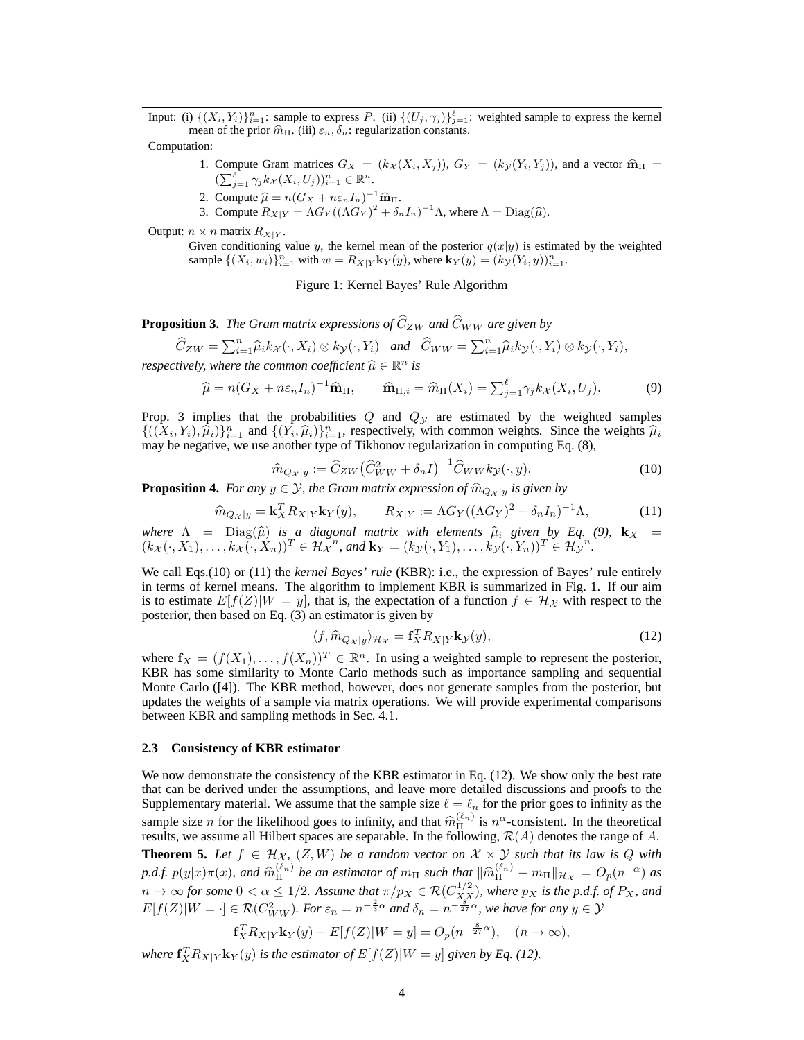Input: (i)  $\{(X_i, Y_i)\}_{i=1}^n$ : sample to express P. (ii)  $\{(U_j, \gamma_j)\}_{j=1}^{\ell}$ : weighted sample to express the kernel mean of the prior  $\hat{m}_{\Pi}$ . (iii)  $\varepsilon_n, \delta_n$ : regularization constants.

Computation:

- 1. Compute Gram matrices  $G_X = (k_X(X_i, X_j)), G_Y = (k_Y(Y_i, Y_j)),$  and a vector  $\widehat{\mathbf{m}}_{\Pi} =$  $\left(\sum_{j=1}^{\ell} \gamma_j k_{\mathcal{X}}(X_i, U_j)\right)_{i=1}^n \in \mathbb{R}^n.$
- 2. Compute  $\hat{\mu} = n(G_X + n\varepsilon_nI_n)^{-1}\hat{\mathbf{m}}_{\Pi}$ .
- 3. Compute  $R_{X|Y} = \Lambda G_Y((\Lambda G_Y)^2 + \delta_n I_n)^{-1}\Lambda$ , where  $\Lambda = \text{Diag}(\hat{\mu})$ .

Output:  $n \times n$  matrix  $R_{X|Y}$ .

Given conditioning value y, the kernel mean of the posterior  $q(x|y)$  is estimated by the weighted sample  $\{(X_i, w_i)\}_{i=1}^n$  with  $w = R_{X|Y}$ **k**<sub>Y</sub> $(y)$ , where **k**<sub>Y</sub> $(y) = (k_{\mathcal{Y}}(Y_i, y))_{i=1}^n$ .

Figure 1: Kernel Bayes' Rule Algorithm

**Proposition 3.** *The Gram matrix expressions of*  $\hat{C}_{ZW}$  *and*  $\hat{C}_{WW}$  *are given by* 

$$
\widehat{C}_{ZW} = \sum_{i=1}^{n} \widehat{\mu}_i k_{\mathcal{X}}(\cdot, X_i) \otimes k_{\mathcal{Y}}(\cdot, Y_i) \quad \text{and} \quad \widehat{C}_{WW} = \sum_{i=1}^{n} \widehat{\mu}_i k_{\mathcal{Y}}(\cdot, Y_i) \otimes k_{\mathcal{Y}}(\cdot, Y_i),
$$

*respectively, where the common coefficient*  $\widehat{\mu} \in \mathbb{R}^n$  *is* 

$$
\widehat{\mu} = n(G_X + n\varepsilon_n I_n)^{-1} \widehat{\mathbf{m}}_{\Pi}, \qquad \widehat{\mathbf{m}}_{\Pi,i} = \widehat{m}_{\Pi}(X_i) = \sum_{j=1}^{\ell} \gamma_j k_X(X_i, U_j). \tag{9}
$$

Prop. 3 implies that the probabilities  $Q$  and  $Q_y$  are estimated by the weighted samples  $\{((X_i, Y_i), \hat{\mu}_i)\}_{i=1}^n$  and  $\{(\overline{Y}_i, \hat{\mu}_i)\}_{i=1}^n$ , respectively, with common weights. Since the weights  $\hat{\mu}_i$ may be negative, we use another type of Tikhonov regularization in computing Eq. (8),

$$
\widehat{m}_{Q_{\mathcal{X}}|y} := \widehat{C}_{ZW} \left( \widehat{C}_{WW}^2 + \delta_n I \right)^{-1} \widehat{C}_{WW} k_{\mathcal{Y}}(\cdot, y). \tag{10}
$$

**Proposition 4.** *For any*  $y \in \mathcal{Y}$ *, the Gram matrix expression of*  $\hat{m}_{Q_x}|_y$  *is given by* 

$$
\widehat{m}_{Q_X|y} = \mathbf{k}_X^T R_{X|Y} \mathbf{k}_Y(y), \qquad R_{X|Y} := \Lambda G_Y((\Lambda G_Y)^2 + \delta_n I_n)^{-1} \Lambda,\tag{11}
$$

*where*  $\Lambda$  = Diag( $\hat{\mu}$ ) *is a diagonal matrix with elements*  $\hat{\mu}_i$  *given by Eq.* (9),  $\mathbf{k}_X$  =  $\mu$ ,  $(\mathbf{k}_X \times \mathbf{K})^T \in \mathcal{U}$ ,  $\mu$  and  $\mathbf{k}_x$  =  $(\mathbf{k}_x \times \mathbf{K})^T \in \mathcal{U}$ ,  $\mu$  $(k_{\mathcal{X}}(\cdot, X_1), \ldots, k_{\mathcal{X}}(\cdot, X_n))^T \in \mathcal{H}_{\mathcal{X}}^{n}$ , and  $\mathbf{k}_Y = (k_{\mathcal{Y}}(\cdot, Y_1), \ldots, k_{\mathcal{Y}}(\cdot, Y_n))^T \in \mathcal{H}_{\mathcal{Y}}^{n}$ .

We call Eqs.(10) or (11) the *kernel Bayes' rule* (KBR): i.e., the expression of Bayes' rule entirely in terms of kernel means. The algorithm to implement KBR is summarized in Fig. 1. If our aim is to estimate  $E[f(Z)|W = y]$ , that is, the expectation of a function  $f \in \mathcal{H}_{\mathcal{X}}$  with respect to the posterior, then based on Eq. (3) an estimator is given by

$$
\langle f, \widehat{m}_{Q_X|y} \rangle_{\mathcal{H}_X} = \mathbf{f}_X^T R_{X|Y} \mathbf{k}_\mathcal{Y}(y),\tag{12}
$$

where  $f_X = (f(X_1), \ldots, f(X_n))^T \in \mathbb{R}^n$ . In using a weighted sample to represent the posterior, KBR has some similarity to Monte Carlo methods such as importance sampling and sequential Monte Carlo ([4]). The KBR method, however, does not generate samples from the posterior, but updates the weights of a sample via matrix operations. We will provide experimental comparisons between KBR and sampling methods in Sec. 4.1.

#### **2.3 Consistency of KBR estimator**

We now demonstrate the consistency of the KBR estimator in Eq. (12). We show only the best rate that can be derived under the assumptions, and leave more detailed discussions and proofs to the Supplementary material. We assume that the sample size  $\ell = \ell_n$  for the prior goes to infinity as the sample size *n* for the likelihood goes to infinity, and that  $\hat{m}_{\Pi}^{(\ell_n)}$  is  $n^{\alpha}$ -consistent. In the theoretical results, we assume all Hilbert spaces are separable. In the following,  $\mathcal{R}(A)$  denotes the range of A. **Theorem 5.** Let  $f \in \mathcal{H}_{\mathcal{X}}$ ,  $(Z, W)$  be a random vector on  $\mathcal{X} \times \mathcal{Y}$  such that its law is Q with  $p.d.f. p(y|x)\pi(x)$ , and  $\widehat{m}_{\Pi}^{(\ell_n)}$  be an estimator of  $m_{\Pi}$  such that  $\|\widehat{m}_{\Pi}^{(\ell_n)} - m_{\Pi}\|_{\mathcal{H}_{\mathcal{X}}} = O_p(n^{-\alpha})$  as  $n \to \infty$  for some  $0 < \alpha \leq 1/2$ . Assume that  $\pi/p_X \in \mathcal{R}(C^{1/2}_{X,X})$ , where  $p_X$  is the p.d.f. of  $P_X$ , and  $E[f(Z)|W = \cdot] \in \mathcal{R}(C_{WW}^2)$ . For  $\varepsilon_n = n^{-\frac{2}{3}\alpha}$  and  $\delta_n = n^{-\frac{8}{27}\alpha}$ , we have for any  $y \in \mathcal{Y}$ 

$$
\mathbf{f}_X^T R_{X|Y} \mathbf{k}_Y(y) - E[f(Z)|W = y] = O_p(n^{-\frac{8}{27}\alpha}), \quad (n \to \infty),
$$

where  $f_X^T R_{X|Y} k_Y(y)$  *is the estimator of*  $E[f(Z)|W=y]$  *given by Eq. (12).*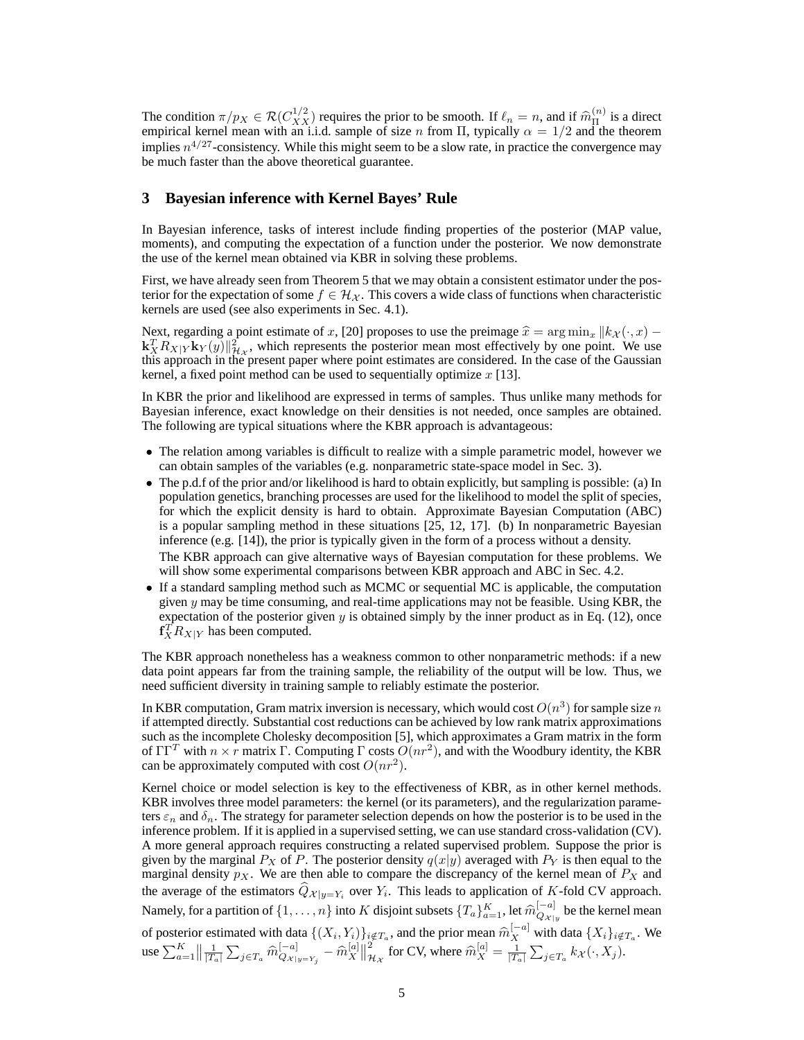The condition  $\pi/p_X \in \mathcal{R}(C^{1/2}_{XX})$  requires the prior to be smooth. If  $\ell_n = n$ , and if  $\widehat{m}_n^{(n)}$  is a direct engineering the street engineering the street engineering  $\widehat{m}_n^{(n)}$  and the street engineering the str empirical kernel mean with an i.i.d. sample of size n from  $\Pi$ , typically  $\alpha = 1/2$  and the theorem implies  $n^{4/27}$ -consistency. While this might seem to be a slow rate, in practice the convergence may be much faster than the above theoretical guarantee.

# **3 Bayesian inference with Kernel Bayes' Rule**

In Bayesian inference, tasks of interest include finding properties of the posterior (MAP value, moments), and computing the expectation of a function under the posterior. We now demonstrate the use of the kernel mean obtained via KBR in solving these problems.

First, we have already seen from Theorem 5 that we may obtain a consistent estimator under the posterior for the expectation of some  $f \in \mathcal{H}_{\mathcal{X}}$ . This covers a wide class of functions when characteristic kernels are used (see also experiments in Sec. 4.1).

Next, regarding a point estimate of x, [20] proposes to use the preimage  $\hat{x} = \arg \min_x ||k_x(\cdot, x) \mathbf{k}_X^T R_{X|Y} \mathbf{k}_Y(y) \|_{\mathcal{H}_X}^2$ , which represents the posterior mean most effectively by one point. We use this approach in the present paper where point estimates are considered. In the case of the Gaussian kernel, a fixed point method can be used to sequentially optimize  $x$  [13].

In KBR the prior and likelihood are expressed in terms of samples. Thus unlike many methods for Bayesian inference, exact knowledge on their densities is not needed, once samples are obtained. The following are typical situations where the KBR approach is advantageous:

- The relation among variables is difficult to realize with a simple parametric model, however we can obtain samples of the variables (e.g. nonparametric state-space model in Sec. 3).
- The p.d.f of the prior and/or likelihood is hard to obtain explicitly, but sampling is possible: (a) In population genetics, branching processes are used for the likelihood to model the split of species, for which the explicit density is hard to obtain. Approximate Bayesian Computation (ABC) is a popular sampling method in these situations [25, 12, 17]. (b) In nonparametric Bayesian inference (e.g. [14]), the prior is typically given in the form of a process without a density.

The KBR approach can give alternative ways of Bayesian computation for these problems. We will show some experimental comparisons between KBR approach and ABC in Sec. 4.2.

• If a standard sampling method such as MCMC or sequential MC is applicable, the computation given  $y$  may be time consuming, and real-time applications may not be feasible. Using KBR, the expectation of the posterior given y is obtained simply by the inner product as in Eq. (12), once  $f_X^T R_{X|Y}$  has been computed.

The KBR approach nonetheless has a weakness common to other nonparametric methods: if a new data point appears far from the training sample, the reliability of the output will be low. Thus, we need sufficient diversity in training sample to reliably estimate the posterior.

In KBR computation, Gram matrix inversion is necessary, which would cost  $O(n^3)$  for sample size n if attempted directly. Substantial cost reductions can be achieved by low rank matrix approximations such as the incomplete Cholesky decomposition [5], which approximates a Gram matrix in the form of  $\Gamma \Gamma^T$  with  $n \times r$  matrix  $\Gamma$ . Computing  $\Gamma$  costs  $O(nr^2)$ , and with the Woodbury identity, the KBR can be approximately computed with cost  $O(nr^2)$ .

Kernel choice or model selection is key to the effectiveness of KBR, as in other kernel methods. KBR involves three model parameters: the kernel (or its parameters), and the regularization parameters  $\varepsilon_n$  and  $\delta_n$ . The strategy for parameter selection depends on how the posterior is to be used in the inference problem. If it is applied in a supervised setting, we can use standard cross-validation (CV). A more general approach requires constructing a related supervised problem. Suppose the prior is given by the marginal  $P_X$  of P. The posterior density  $q(x|y)$  averaged with  $P_Y$  is then equal to the marginal density  $p_X$ . We are then able to compare the discrepancy of the kernel mean of  $P_X$  and the average of the estimators  $Q_{\mathcal{X}|y=Y_i}$  over  $Y_i$ . This leads to application of K-fold CV approach. Namely, for a partition of  $\{1,\ldots,n\}$  into  $K$  disjoint subsets  $\{T_a\}_{a=1}^K$ , let  $\widehat{m}^{[-a]}_{Q_{\mathcal{X}|}}$  $Q_{\mathcal{X}|y}^{[-a]}$  be the kernel mean of posterior estimated with data  $\{(X_i, Y_i)\}_{i \notin T_a}$ , and the prior mean  $\widehat{m}_X^{[-a]}$  with data  $\{X_i\}_{i \notin T_a}$ . We use  $\sum_{a=1}^{K} \left\| \frac{1}{|T_a|} \sum_{j \in T_a} \widehat{m}_{Q_{\mathcal{X}|}}^{[-a]} \right\|$  $\frac{[-a]}{Q_{\mathcal{X}|\mathcal{y}=Y_j}}-\widehat{m}_X^{[a]}$  $\begin{bmatrix} a \ X \end{bmatrix} \begin{bmatrix} 2 \ 7 \end{bmatrix}$  $\frac{1}{2\mathcal{H}_\mathcal{X}}$  for CV, where  $\widehat{m}_X^{[a]} = \frac{1}{|T_a|} \sum_{j \in T_a} k_\mathcal{X}(\cdot, X_j)$ .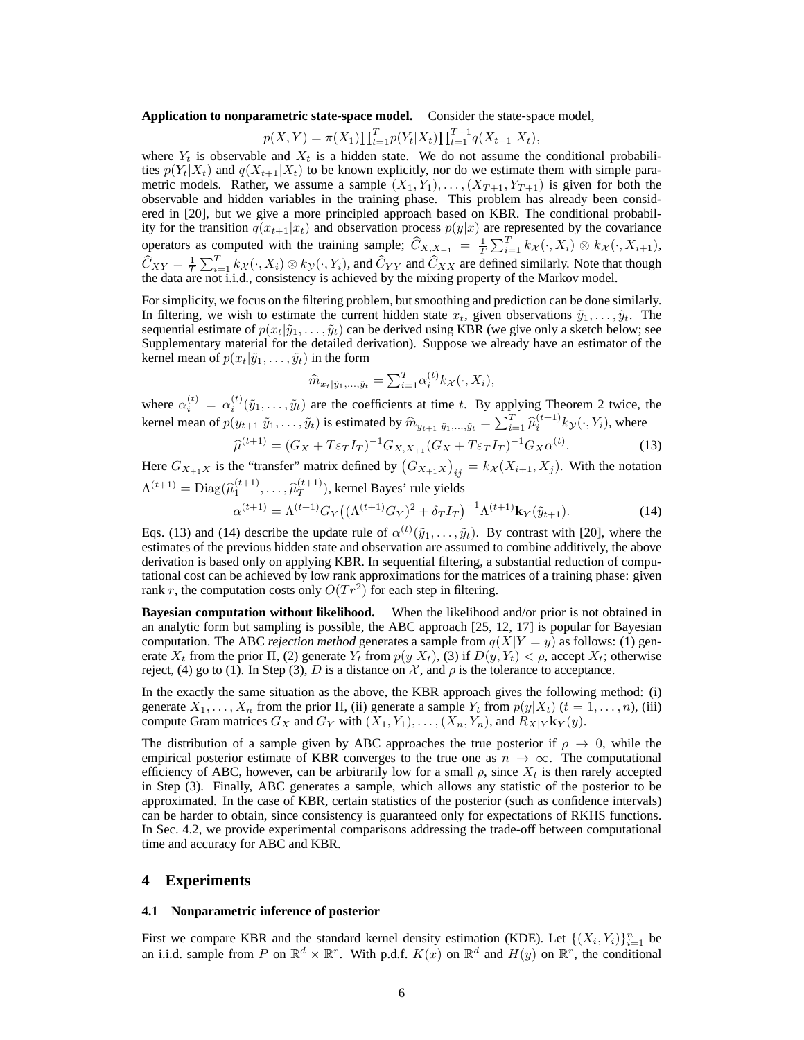**Application to nonparametric state-space model.** Consider the state-space model,

$$
p(X,Y) = \pi(X_1) \prod_{t=1}^{T} p(Y_t | X_t) \prod_{t=1}^{T-1} q(X_{t+1} | X_t),
$$

where  $Y_t$  is observable and  $X_t$  is a hidden state. We do not assume the conditional probabilities  $p(Y_t|X_t)$  and  $q(X_{t+1}|X_t)$  to be known explicitly, nor do we estimate them with simple parametric models. Rather, we assume a sample  $(X_1, Y_1), \ldots, (X_{T+1}, Y_{T+1})$  is given for both the observable and hidden variables in the training phase. This problem has already been considered in [20], but we give a more principled approach based on KBR. The conditional probability for the transition  $q(x_{t+1}|x_t)$  and observation process  $p(y|x)$  are represented by the covariance operators as computed with the training sample;  $\widehat{C}_{X,X_{+1}} = \frac{1}{T} \sum_{i=1}^{T} k_{\mathcal{X}}(\cdot, X_i) \otimes k_{\mathcal{X}}(\cdot, X_{i+1}),$  $\widehat{C}_{XY} = \frac{1}{T} \sum_{i=1}^{T} k_X(\cdot, X_i) \otimes k_Y(\cdot, Y_i)$ , and  $\widehat{C}_{YY}$  and  $\widehat{C}_{XX}$  are defined similarly. Note that though the data are not i.i.d., consistency is achieved by the mixing property of the Markov model.

For simplicity, we focus on the filtering problem, but smoothing and prediction can be done similarly. In filtering, we wish to estimate the current hidden state  $x_t$ , given observations  $\tilde{y}_1, \ldots, \tilde{y}_t$ . The sequential estimate of  $p(x_t|\tilde{y}_1,\ldots,\tilde{y}_t)$  can be derived using KBR (we give only a sketch below; see Supplementary material for the detailed derivation). Suppose we already have an estimator of the kernel mean of  $p(x_t|\tilde{y}_1,\ldots,\tilde{y}_t)$  in the form

$$
\widehat{m}_{x_t|\tilde{y}_1,\dots,\tilde{y}_t} = \sum_{i=1}^T \alpha_i^{(t)} k_{\mathcal{X}}(\cdot, X_i),
$$

where  $\alpha_i^{(t)} = \alpha_i^{(t)}(\tilde{y}_1,\ldots,\tilde{y}_t)$  are the coefficients at time t. By applying Theorem 2 twice, the kernel mean of  $p(y_{t+1}|\tilde{y}_1,\ldots,\tilde{y}_t)$  is estimated by  $\widehat{m}_{y_{t+1}|\tilde{y}_1,\ldots,\tilde{y}_t} = \sum_{i=1}^T \widehat{\mu}_i^{(t+1)} k_{\mathcal{Y}}(\cdot, Y_i)$ , where

$$
\widehat{\mu}^{(t+1)} = (G_X + T\varepsilon_T I_T)^{-1} G_{X,X_{+1}} (G_X + T\varepsilon_T I_T)^{-1} G_X \alpha^{(t)}.
$$
\n(13)

Here  $G_{X_{+1}X}$  is the "transfer" matrix defined by  $(G_{X_{+1}X})_{ij} = k_{\mathcal{X}}(X_{i+1}, X_j)$ . With the notation  $\Lambda^{(t+1)} = \text{Diag}(\widehat{\mu}_1^{(t+1)}, \ldots, \widehat{\mu}_T^{(t+1)})$  $\binom{(t+1)}{T}$ , kernel Bayes' rule yields  $\alpha^{(t+1)} = \Lambda^{(t+1)} G_Y \big( (\Lambda^{(t+1)} G_Y)^2 + \delta_T I_T \big)^{-1} \Lambda^{(t+1)} \mathbf{k}_Y(\tilde{y}_{t+1}).$ (14)

Eqs. (13) and (14) describe the update rule of  $\alpha^{(t)}(\tilde{y}_1,\ldots,\tilde{y}_t)$ . By contrast with [20], where the estimates of the previous hidden state and observation are assumed to combine additively, the above derivation is based only on applying KBR. In sequential filtering, a substantial reduction of computational cost can be achieved by low rank approximations for the matrices of a training phase: given rank r, the computation costs only  $O(Tr^2)$  for each step in filtering.

**Bayesian computation without likelihood.** When the likelihood and/or prior is not obtained in an analytic form but sampling is possible, the ABC approach [25, 12, 17] is popular for Bayesian computation. The ABC *rejection method* generates a sample from  $q(X|Y = y)$  as follows: (1) generate  $X_t$  from the prior  $\Pi$ , (2) generate  $Y_t$  from  $p(y|X_t)$ , (3) if  $D(y, Y_t) < \rho$ , accept  $X_t$ ; otherwise reject, (4) go to (1). In Step (3), D is a distance on  $\mathcal{X}$ , and  $\rho$  is the tolerance to acceptance.

In the exactly the same situation as the above, the KBR approach gives the following method: (i) generate  $X_1, \ldots, X_n$  from the prior  $\Pi$ , (ii) generate a sample  $Y_t$  from  $p(y|X_t)$  ( $t = 1, \ldots, n$ ), (iii) compute Gram matrices  $G_X$  and  $G_Y$  with  $(X_1, Y_1), \ldots, (X_n, Y_n)$ , and  $R_{X|Y}$ **k**<sub>Y</sub> $(y)$ .

The distribution of a sample given by ABC approaches the true posterior if  $\rho \to 0$ , while the empirical posterior estimate of KBR converges to the true one as  $n \to \infty$ . The computational efficiency of ABC, however, can be arbitrarily low for a small  $\rho$ , since  $X_t$  is then rarely accepted in Step (3). Finally, ABC generates a sample, which allows any statistic of the posterior to be approximated. In the case of KBR, certain statistics of the posterior (such as confidence intervals) can be harder to obtain, since consistency is guaranteed only for expectations of RKHS functions. In Sec. 4.2, we provide experimental comparisons addressing the trade-off between computational time and accuracy for ABC and KBR.

# **4 Experiments**

### **4.1 Nonparametric inference of posterior**

First we compare KBR and the standard kernel density estimation (KDE). Let  $\{(X_i, Y_i)\}_{i=1}^n$  be an i.i.d. sample from P on  $\mathbb{R}^d \times \mathbb{R}^r$ . With p.d.f.  $K(x)$  on  $\mathbb{R}^d$  and  $H(y)$  on  $\mathbb{R}^r$ , the conditional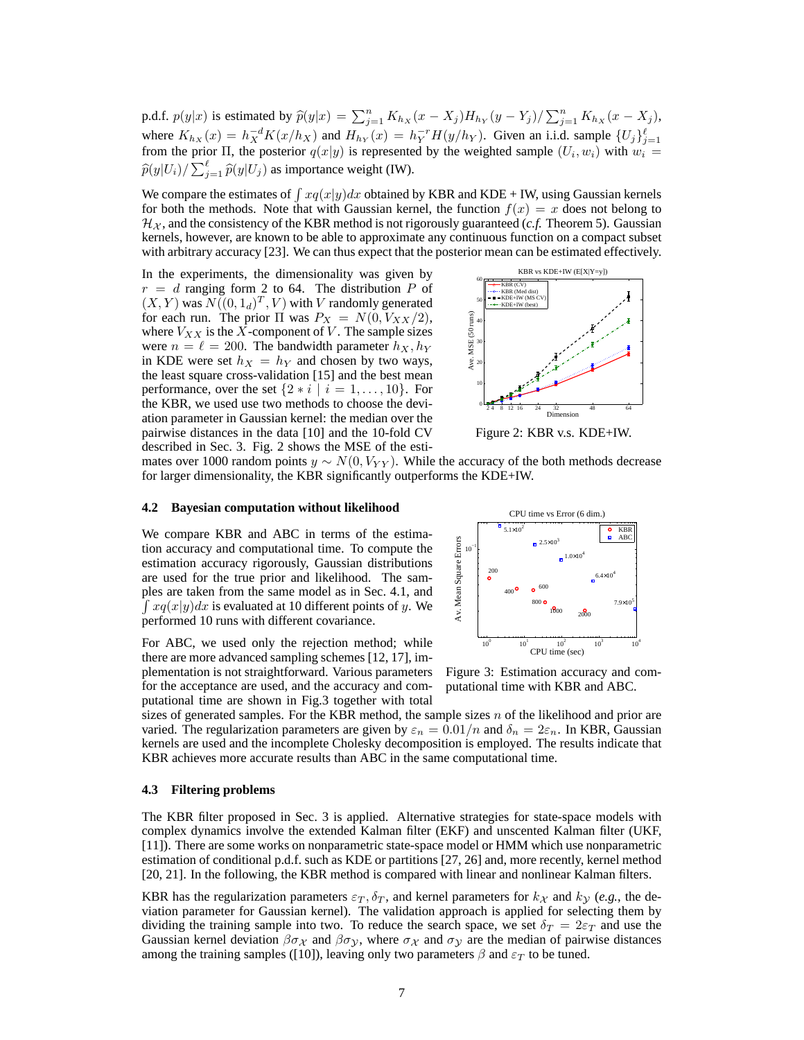p.d.f.  $p(y|x)$  is estimated by  $\widehat{p}(y|x) = \sum_{j=1}^{n} K_{h_X}(x - X_j)H_{h_Y}(y - Y_j)/\sum_{j=1}^{n} K_{h_X}(x - X_j)$ , where  $K_{h_X}(x) = h_X^{-d} K(x/h_X)$  and  $H_{h_Y}(x) = h_Y^{-r} H(y/h_Y)$ . Given an i.i.d. sample  $\{U_j\}_{j=1}^{\ell}$  from the prior  $\Pi$ , the posterior  $q(x|y)$  is represented by the weighted sample  $(U_i, w_i)$  with  $w_i =$  $\widehat{p}(y|U_i)/\sum_{j=1}^{\ell} \widehat{p}(y|U_j)$  as importance weight (IW).

We compare the estimates of  $\int xq(x|y)dx$  obtained by KBR and KDE + IW, using Gaussian kernels for both the methods. Note that with Gaussian kernel, the function  $f(x) = x$  does not belong to  $\mathcal{H}_{\chi}$ , and the consistency of the KBR method is not rigorously guaranteed (*c.f.* Theorem 5). Gaussian kernels, however, are known to be able to approximate any continuous function on a compact subset with arbitrary accuracy [23]. We can thus expect that the posterior mean can be estimated effectively.

In the experiments, the dimensionality was given by  $r = d$  ranging form 2 to 64. The distribution P of  $(X, Y)$  was  $N((0, 1_d)^T, V)$  with V randomly generated for each run. The prior  $\Pi$  was  $P_X = N(0, V_{XX}/2)$ , where  $V_{XX}$  is the  $\overline{X}$ -component of  $\overline{V}$ . The sample sizes were  $n = \ell = 200$ . The bandwidth parameter  $h_X, h_Y$ in KDE were set  $h_X = h_Y$  and chosen by two ways, the least square cross-validation [15] and the best mean performance, over the set  $\{2 * i \mid i = 1, \ldots, 10\}$ . For the KBR, we used use two methods to choose the deviation parameter in Gaussian kernel: the median over the pairwise distances in the data [10] and the 10-fold CV described in Sec. 3. Fig. 2 shows the MSE of the esti-



Figure 2: KBR v.s. KDE+IW.

mates over 1000 random points  $y \sim N(0, V_{YY})$ . While the accuracy of the both methods decrease for larger dimensionality, the KBR significantly outperforms the KDE+IW.

#### **4.2 Bayesian computation without likelihood**

We compare KBR and ABC in terms of the estimation accuracy and computational time. To compute the estimation accuracy rigorously, Gaussian distributions are used for the true prior and likelihood. The samples are taken from the same model as in Sec. 4.1, and  $\int xq(x|y)dx$  is evaluated at 10 different points of y. We performed 10 runs with different covariance.

For ABC, we used only the rejection method; while there are more advanced sampling schemes [12, 17], implementation is not straightforward. Various parameters for the acceptance are used, and the accuracy and computational time are shown in Fig.3 together with total



Figure 3: Estimation accuracy and computational time with KBR and ABC.

sizes of generated samples. For the KBR method, the sample sizes  $n$  of the likelihood and prior are varied. The regularization parameters are given by  $\varepsilon_n = 0.01/n$  and  $\delta_n = 2\varepsilon_n$ . In KBR, Gaussian kernels are used and the incomplete Cholesky decomposition is employed. The results indicate that KBR achieves more accurate results than ABC in the same computational time.

### **4.3 Filtering problems**

The KBR filter proposed in Sec. 3 is applied. Alternative strategies for state-space models with complex dynamics involve the extended Kalman filter (EKF) and unscented Kalman filter (UKF, [11]). There are some works on nonparametric state-space model or HMM which use nonparametric estimation of conditional p.d.f. such as KDE or partitions [27, 26] and, more recently, kernel method [20, 21]. In the following, the KBR method is compared with linear and nonlinear Kalman filters.

KBR has the regularization parameters  $\varepsilon_T$ ,  $\delta_T$ , and kernel parameters for  $k_{\mathcal{X}}$  and  $k_{\mathcal{Y}}$  (e.g., the deviation parameter for Gaussian kernel). The validation approach is applied for selecting them by dividing the training sample into two. To reduce the search space, we set  $\delta_T = 2\varepsilon_T$  and use the Gaussian kernel deviation  $\beta \sigma_X$  and  $\beta \sigma_Y$ , where  $\sigma_X$  and  $\sigma_Y$  are the median of pairwise distances among the training samples ([10]), leaving only two parameters  $\beta$  and  $\varepsilon_T$  to be tuned.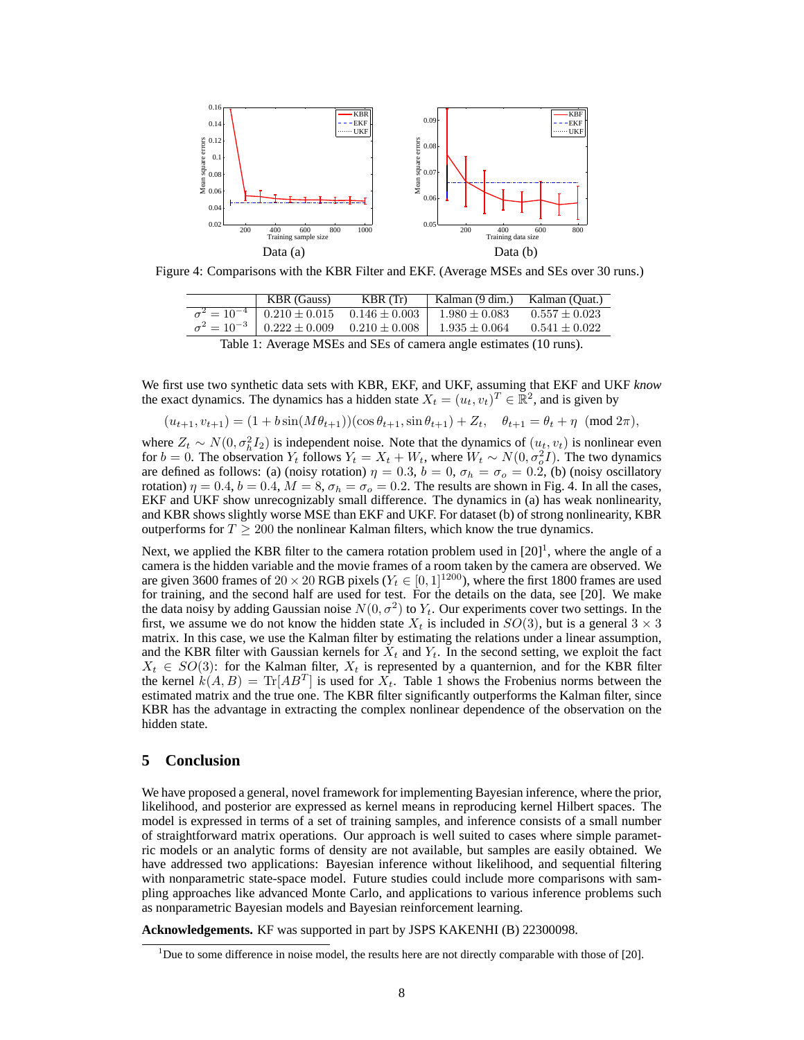

Figure 4: Comparisons with the KBR Filter and EKF. (Average MSEs and SEs over 30 runs.)

|                                                                    | <b>KBR</b> (Gauss)                                         | KBR(Tr)         | Kalman (9 dim.) Kalman (Quat.) |                   |
|--------------------------------------------------------------------|------------------------------------------------------------|-----------------|--------------------------------|-------------------|
|                                                                    | $\sigma^2 = 10^{-4}$ 0.210 ± 0.015                         | $0.146 + 0.003$ | $1.980 \pm 0.083$              | $0.557 \pm 0.023$ |
|                                                                    | $\sigma^2 = 10^{-3}$   $0.222 \pm 0.009$ $0.210 \pm 0.008$ |                 | $1.935 \pm 0.064$              | $0.541 \pm 0.022$ |
| Table 1: Average MSEs and SEs of camera angle estimates (10 runs). |                                                            |                 |                                |                   |

We first use two synthetic data sets with KBR, EKF, and UKF, assuming that EKF and UKF *know* the exact dynamics. The dynamics has a hidden state  $X_t = (u_t, v_t)^T \in \mathbb{R}^2$ , and is given by

$$
(u_{t+1}, v_{t+1}) = (1 + b\sin(M\theta_{t+1}))(\cos\theta_{t+1}, \sin\theta_{t+1}) + Z_t, \quad \theta_{t+1} = \theta_t + \eta \pmod{2\pi},
$$

where  $Z_t \sim N(0, \sigma_h^2 I_2)$  is independent noise. Note that the dynamics of  $(u_t, v_t)$  is nonlinear even for  $b = 0$ . The observation  $Y_t$  follows  $Y_t = X_t + W_t$ , where  $W_t \sim N(0, \sigma_o^2 I)$ . The two dynamics are defined as follows: (a) (noisy rotation)  $\eta = 0.3$ ,  $b = 0$ ,  $\sigma_h = \sigma_o = 0.2$ , (b) (noisy oscillatory rotation)  $\eta = 0.4$ ,  $b = 0.4$ ,  $M = 8$ ,  $\sigma_h = \sigma_o = 0.2$ . The results are shown in Fig. 4. In all the cases, EKF and UKF show unrecognizably small difference. The dynamics in (a) has weak nonlinearity, and KBR shows slightly worse MSE than EKF and UKF. For dataset (b) of strong nonlinearity, KBR outperforms for  $T \geq 200$  the nonlinear Kalman filters, which know the true dynamics.

Next, we applied the KBR filter to the camera rotation problem used in  $[20]$ <sup>1</sup>, where the angle of a camera is the hidden variable and the movie frames of a room taken by the camera are observed. We are given 3600 frames of  $20 \times 20$  RGB pixels ( $Y_t \in [0, 1]^{1200}$ ), where the first 1800 frames are used for training, and the second half are used for test. For the details on the data, see [20]. We make the data noisy by adding Gaussian noise  $N(0, \sigma^2)$  to  $Y_t$ . Our experiments cover two settings. In the first, we assume we do not know the hidden state  $X_t$  is included in  $SO(3)$ , but is a general  $3 \times 3$ matrix. In this case, we use the Kalman filter by estimating the relations under a linear assumption, and the KBR filter with Gaussian kernels for  $X_t$  and  $Y_t$ . In the second setting, we exploit the fact  $X_t \in SO(3)$ : for the Kalman filter,  $X_t$  is represented by a quanternion, and for the KBR filter the kernel  $k(A, B) = \text{Tr}[AB^T]$  is used for  $\overline{X}_t$ . Table 1 shows the Frobenius norms between the estimated matrix and the true one. The KBR filter significantly outperforms the Kalman filter, since KBR has the advantage in extracting the complex nonlinear dependence of the observation on the hidden state.

## **5 Conclusion**

We have proposed a general, novel framework for implementing Bayesian inference, where the prior, likelihood, and posterior are expressed as kernel means in reproducing kernel Hilbert spaces. The model is expressed in terms of a set of training samples, and inference consists of a small number of straightforward matrix operations. Our approach is well suited to cases where simple parametric models or an analytic forms of density are not available, but samples are easily obtained. We have addressed two applications: Bayesian inference without likelihood, and sequential filtering with nonparametric state-space model. Future studies could include more comparisons with sampling approaches like advanced Monte Carlo, and applications to various inference problems such as nonparametric Bayesian models and Bayesian reinforcement learning.

**Acknowledgements.** KF was supported in part by JSPS KAKENHI (B) 22300098.

<sup>&</sup>lt;sup>1</sup>Due to some difference in noise model, the results here are not directly comparable with those of [20].